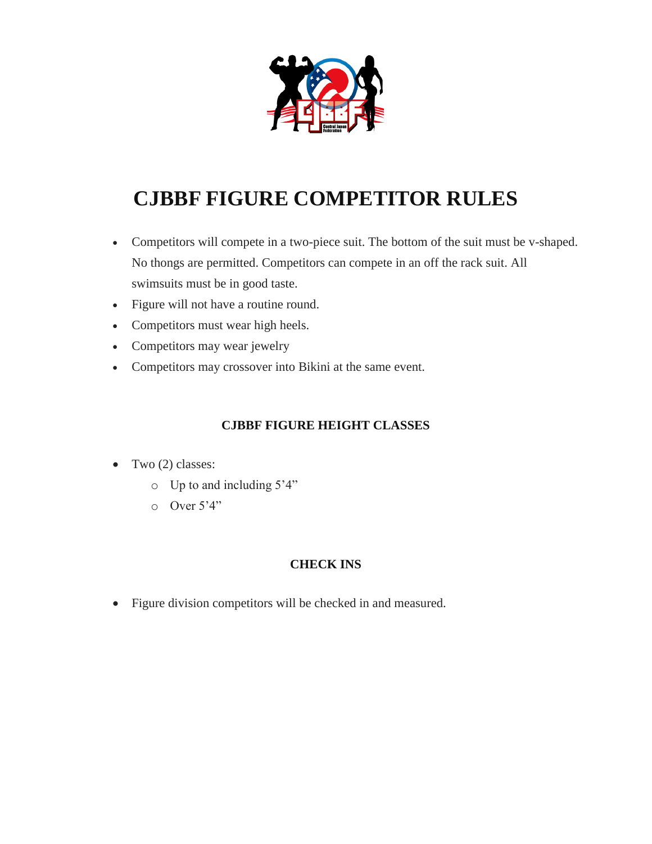

## **CJBBF FIGURE COMPETITOR RULES**

- Competitors will compete in a two-piece suit. The bottom of the suit must be v-shaped. No thongs are permitted. Competitors can compete in an off the rack suit. All swimsuits must be in good taste.
- Figure will not have a routine round.
- Competitors must wear high heels.
- Competitors may wear jewelry
- Competitors may crossover into Bikini at the same event.

## **CJBBF FIGURE HEIGHT CLASSES**

- $\bullet$  Two (2) classes:
	- o Up to and including 5'4"
	- $O$  Over  $5'4''$

## **CHECK INS**

Figure division competitors will be checked in and measured.